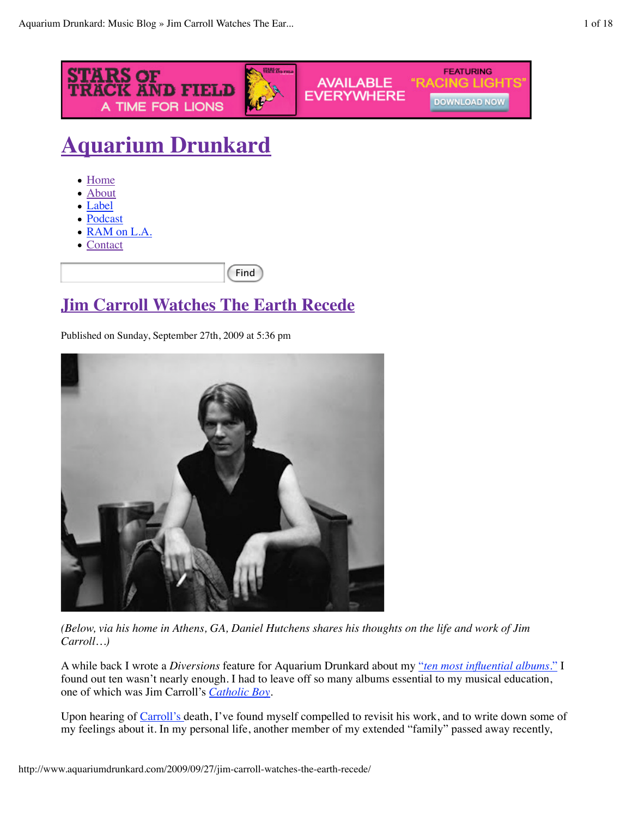

Contact

Find

# **Jim Carroll Watches The Earth Recede**

Published on Sunday, September 27th, 2009 at 5:36 pm



*(Below, via his home in Athens, GA, Daniel Hutchens shares his thoughts on the life and work of Jim Carroll…)*

A while back I wrote a *Diversions* feature for Aquarium Drunkard about my "*ten most influential albums*." I found out ten wasn't nearly enough. I had to leave off so many albums essential to my musical education, one of which was Jim Carroll's *Catholic Boy*.

Upon hearing of Carroll's death, I've found myself compelled to revisit his work, and to write down some of my feelings about it. In my personal life, another member of my extended "family" passed away recently,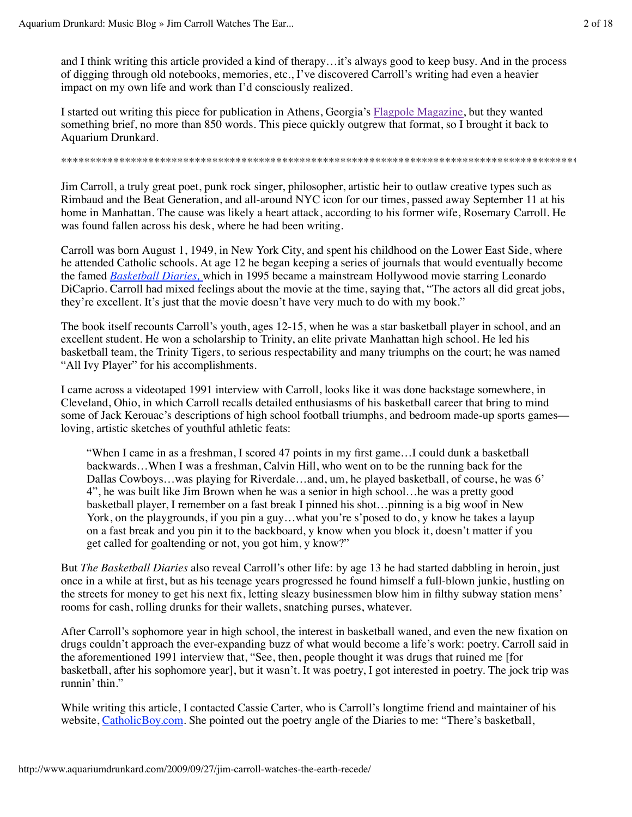and I think writing this article provided a kind of therapy…it's always good to keep busy. And in the process of digging through old notebooks, memories, etc., I've discovered Carroll's writing had even a heavier impact on my own life and work than I'd consciously realized.

I started out writing this piece for publication in Athens, Georgia's Flagpole Magazine, but they wanted something brief, no more than 850 words. This piece quickly outgrew that format, so I brought it back to Aquarium Drunkard.

\*\*\*\*\*\*\*\*\*\*\*\*\*\*\*\*\*\*\*\*\*\*\*\*\*\*\*\*\*\*\*\*\*\*\*\*\*\*\*\*\*\*\*\*\*\*\*\*\*\*\*\*\*\*\*\*\*\*\*\*\*\*\*\*\*\*\*\*\*\*\*\*\*\*\*\*\*\*\*\*\*\*\*\*\*\*\*\*\*\*\*\*\*\*\*\*\*\*\*

Jim Carroll, a truly great poet, punk rock singer, philosopher, artistic heir to outlaw creative types such as Rimbaud and the Beat Generation, and all-around NYC icon for our times, passed away September 11 at his home in Manhattan. The cause was likely a heart attack, according to his former wife, Rosemary Carroll. He was found fallen across his desk, where he had been writing.

Carroll was born August 1, 1949, in New York City, and spent his childhood on the Lower East Side, where he attended Catholic schools. At age 12 he began keeping a series of journals that would eventually become the famed *Basketball Diaries,* which in 1995 became a mainstream Hollywood movie starring Leonardo DiCaprio. Carroll had mixed feelings about the movie at the time, saying that, "The actors all did great jobs, they're excellent. It's just that the movie doesn't have very much to do with my book."

The book itself recounts Carroll's youth, ages 12-15, when he was a star basketball player in school, and an excellent student. He won a scholarship to Trinity, an elite private Manhattan high school. He led his basketball team, the Trinity Tigers, to serious respectability and many triumphs on the court; he was named "All Ivy Player" for his accomplishments.

I came across a videotaped 1991 interview with Carroll, looks like it was done backstage somewhere, in Cleveland, Ohio, in which Carroll recalls detailed enthusiasms of his basketball career that bring to mind some of Jack Kerouac's descriptions of high school football triumphs, and bedroom made-up sports games loving, artistic sketches of youthful athletic feats:

"When I came in as a freshman, I scored 47 points in my first game…I could dunk a basketball backwards…When I was a freshman, Calvin Hill, who went on to be the running back for the Dallas Cowboys…was playing for Riverdale…and, um, he played basketball, of course, he was 6' 4", he was built like Jim Brown when he was a senior in high school…he was a pretty good basketball player, I remember on a fast break I pinned his shot…pinning is a big woof in New York, on the playgrounds, if you pin a guy...what you're s'posed to do, y know he takes a layup on a fast break and you pin it to the backboard, y know when you block it, doesn't matter if you get called for goaltending or not, you got him, y know?"

But *The Basketball Diaries* also reveal Carroll's other life: by age 13 he had started dabbling in heroin, just once in a while at first, but as his teenage years progressed he found himself a full-blown junkie, hustling on the streets for money to get his next fix, letting sleazy businessmen blow him in filthy subway station mens' rooms for cash, rolling drunks for their wallets, snatching purses, whatever.

After Carroll's sophomore year in high school, the interest in basketball waned, and even the new fixation on drugs couldn't approach the ever-expanding buzz of what would become a life's work: poetry. Carroll said in the aforementioned 1991 interview that, "See, then, people thought it was drugs that ruined me [for basketball, after his sophomore year], but it wasn't. It was poetry, I got interested in poetry. The jock trip was runnin' thin."

While writing this article, I contacted Cassie Carter, who is Carroll's longtime friend and maintainer of his website, CatholicBoy.com. She pointed out the poetry angle of the Diaries to me: "There's basketball,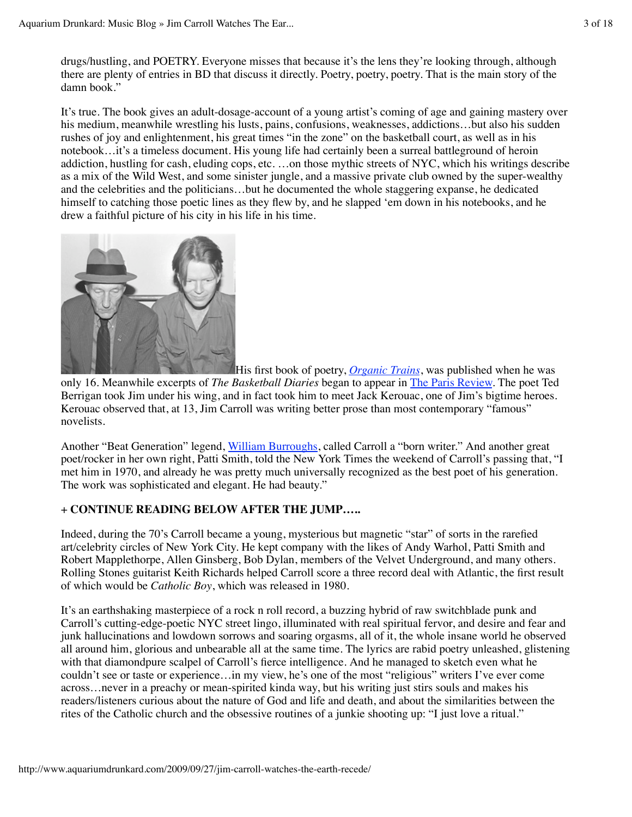drugs/hustling, and POETRY. Everyone misses that because it's the lens they're looking through, although there are plenty of entries in BD that discuss it directly. Poetry, poetry, poetry. That is the main story of the damn book."

It's true. The book gives an adult-dosage-account of a young artist's coming of age and gaining mastery over his medium, meanwhile wrestling his lusts, pains, confusions, weaknesses, addictions...but also his sudden rushes of joy and enlightenment, his great times "in the zone" on the basketball court, as well as in his notebook…it's a timeless document. His young life had certainly been a surreal battleground of heroin addiction, hustling for cash, eluding cops, etc. …on those mythic streets of NYC, which his writings describe as a mix of the Wild West, and some sinister jungle, and a massive private club owned by the super-wealthy and the celebrities and the politicians…but he documented the whole staggering expanse, he dedicated himself to catching those poetic lines as they flew by, and he slapped 'em down in his notebooks, and he drew a faithful picture of his city in his life in his time.



His first book of poetry, *Organic Trains*, was published when he was

only 16. Meanwhile excerpts of *The Basketball Diaries* began to appear in The Paris Review. The poet Ted Berrigan took Jim under his wing, and in fact took him to meet Jack Kerouac, one of Jim's bigtime heroes. Kerouac observed that, at 13, Jim Carroll was writing better prose than most contemporary "famous" novelists.

Another "Beat Generation" legend, William Burroughs, called Carroll a "born writer." And another great poet/rocker in her own right, Patti Smith, told the New York Times the weekend of Carroll's passing that, "I met him in 1970, and already he was pretty much universally recognized as the best poet of his generation. The work was sophisticated and elegant. He had beauty."

#### + **CONTINUE READING BELOW AFTER THE JUMP…..**

Indeed, during the 70's Carroll became a young, mysterious but magnetic "star" of sorts in the rarefied art/celebrity circles of New York City. He kept company with the likes of Andy Warhol, Patti Smith and Robert Mapplethorpe, Allen Ginsberg, Bob Dylan, members of the Velvet Underground, and many others. Rolling Stones guitarist Keith Richards helped Carroll score a three record deal with Atlantic, the first result of which would be *Catholic Boy*, which was released in 1980.

It's an earthshaking masterpiece of a rock n roll record, a buzzing hybrid of raw switchblade punk and Carroll's cutting-edge-poetic NYC street lingo, illuminated with real spiritual fervor, and desire and fear and junk hallucinations and lowdown sorrows and soaring orgasms, all of it, the whole insane world he observed all around him, glorious and unbearable all at the same time. The lyrics are rabid poetry unleashed, glistening with that diamondpure scalpel of Carroll's fierce intelligence. And he managed to sketch even what he couldn't see or taste or experience…in my view, he's one of the most "religious" writers I've ever come across…never in a preachy or mean-spirited kinda way, but his writing just stirs souls and makes his readers/listeners curious about the nature of God and life and death, and about the similarities between the rites of the Catholic church and the obsessive routines of a junkie shooting up: "I just love a ritual."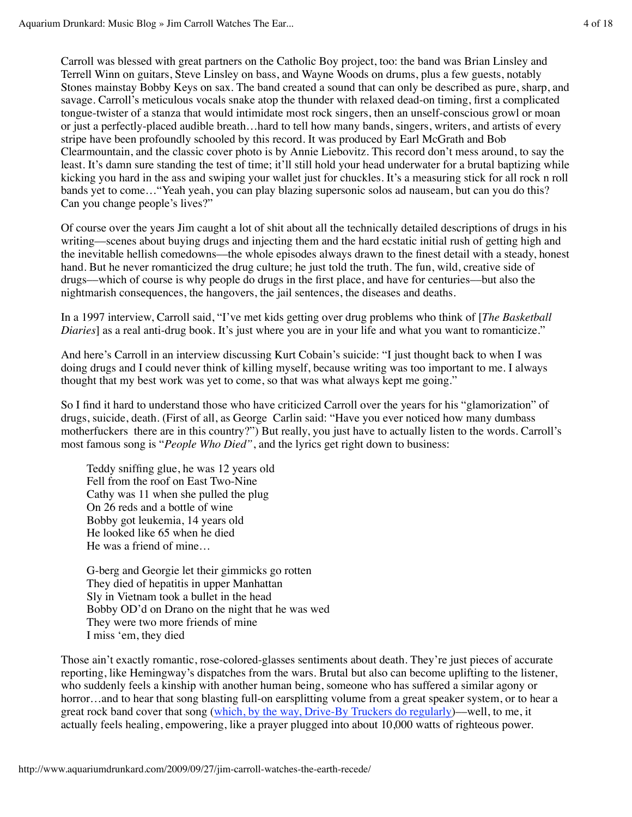Carroll was blessed with great partners on the Catholic Boy project, too: the band was Brian Linsley and Terrell Winn on guitars, Steve Linsley on bass, and Wayne Woods on drums, plus a few guests, notably Stones mainstay Bobby Keys on sax. The band created a sound that can only be described as pure, sharp, and savage. Carroll's meticulous vocals snake atop the thunder with relaxed dead-on timing, first a complicated tongue-twister of a stanza that would intimidate most rock singers, then an unself-conscious growl or moan or just a perfectly-placed audible breath…hard to tell how many bands, singers, writers, and artists of every stripe have been profoundly schooled by this record. It was produced by Earl McGrath and Bob Clearmountain, and the classic cover photo is by Annie Liebovitz. This record don't mess around, to say the least. It's damn sure standing the test of time; it'll still hold your head underwater for a brutal baptizing while kicking you hard in the ass and swiping your wallet just for chuckles. It's a measuring stick for all rock n roll bands yet to come…"Yeah yeah, you can play blazing supersonic solos ad nauseam, but can you do this? Can you change people's lives?"

Of course over the years Jim caught a lot of shit about all the technically detailed descriptions of drugs in his writing––scenes about buying drugs and injecting them and the hard ecstatic initial rush of getting high and the inevitable hellish comedowns––the whole episodes always drawn to the finest detail with a steady, honest hand. But he never romanticized the drug culture; he just told the truth. The fun, wild, creative side of drugs––which of course is why people do drugs in the first place, and have for centuries––but also the nightmarish consequences, the hangovers, the jail sentences, the diseases and deaths.

In a 1997 interview, Carroll said, "I've met kids getting over drug problems who think of [*The Basketball Diaries*] as a real anti-drug book. It's just where you are in your life and what you want to romanticize."

And here's Carroll in an interview discussing Kurt Cobain's suicide: "I just thought back to when I was doing drugs and I could never think of killing myself, because writing was too important to me. I always thought that my best work was yet to come, so that was what always kept me going."

So I find it hard to understand those who have criticized Carroll over the years for his "glamorization" of drugs, suicide, death. (First of all, as George Carlin said: "Have you ever noticed how many dumbass motherfuckers there are in this country?") But really, you just have to actually listen to the words. Carroll's most famous song is "*People Who Died"*, and the lyrics get right down to business:

Teddy sniffing glue, he was 12 years old Fell from the roof on East Two-Nine Cathy was 11 when she pulled the plug On 26 reds and a bottle of wine Bobby got leukemia, 14 years old He looked like 65 when he died He was a friend of mine…

G-berg and Georgie let their gimmicks go rotten They died of hepatitis in upper Manhattan Sly in Vietnam took a bullet in the head Bobby OD'd on Drano on the night that he was wed They were two more friends of mine I miss 'em, they died

Those ain't exactly romantic, rose-colored-glasses sentiments about death. They're just pieces of accurate reporting, like Hemingway's dispatches from the wars. Brutal but also can become uplifting to the listener, who suddenly feels a kinship with another human being, someone who has suffered a similar agony or horror…and to hear that song blasting full-on earsplitting volume from a great speaker system, or to hear a great rock band cover that song (which, by the way, Drive-By Truckers do regularly)––well, to me, it actually feels healing, empowering, like a prayer plugged into about 10,000 watts of righteous power.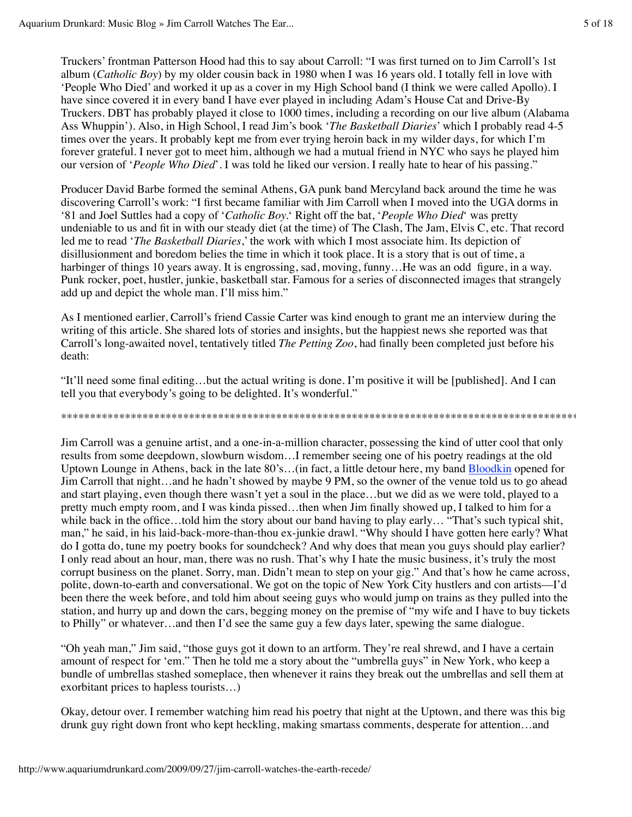Truckers' frontman Patterson Hood had this to say about Carroll: "I was first turned on to Jim Carroll's 1st album (*Catholic Boy*) by my older cousin back in 1980 when I was 16 years old. I totally fell in love with 'People Who Died' and worked it up as a cover in my High School band (I think we were called Apollo). I have since covered it in every band I have ever played in including Adam's House Cat and Drive-By Truckers. DBT has probably played it close to 1000 times, including a recording on our live album (Alabama Ass Whuppin'). Also, in High School, I read Jim's book '*The Basketball Diaries*' which I probably read 4-5 times over the years. It probably kept me from ever trying heroin back in my wilder days, for which I'm forever grateful. I never got to meet him, although we had a mutual friend in NYC who says he played him our version of '*People Who Died*'. I was told he liked our version. I really hate to hear of his passing."

Producer David Barbe formed the seminal Athens, GA punk band Mercyland back around the time he was discovering Carroll's work: "I first became familiar with Jim Carroll when I moved into the UGA dorms in '81 and Joel Suttles had a copy of '*Catholic Boy.*' Right off the bat, '*People Who Died*' was pretty undeniable to us and fit in with our steady diet (at the time) of The Clash, The Jam, Elvis C, etc. That record led me to read '*The Basketball Diaries*,' the work with which I most associate him. Its depiction of disillusionment and boredom belies the time in which it took place. It is a story that is out of time, a harbinger of things 10 years away. It is engrossing, sad, moving, funny...He was an odd figure, in a way. Punk rocker, poet, hustler, junkie, basketball star. Famous for a series of disconnected images that strangely add up and depict the whole man. I'll miss him."

As I mentioned earlier, Carroll's friend Cassie Carter was kind enough to grant me an interview during the writing of this article. She shared lots of stories and insights, but the happiest news she reported was that Carroll's long-awaited novel, tentatively titled *The Petting Zoo*, had finally been completed just before his death:

"It'll need some final editing…but the actual writing is done. I'm positive it will be [published]. And I can tell you that everybody's going to be delighted. It's wonderful."

\*\*\*\*\*\*\*\*\*\*\*\*\*\*\*\*\*\*\*\*\*\*\*\*\*\*\*\*\*\*\*\*\*\*\*\*\*\*\*\*\*\*\*\*\*\*\*\*\*\*\*\*\*\*\*\*\*\*\*\*\*\*\*\*\*\*\*\*\*\*\*\*\*\*\*\*\*\*\*\*\*\*\*\*\*\*\*\*\*\*\*\*\*\*\*\*\*\*\*

Jim Carroll was a genuine artist, and a one-in-a-million character, possessing the kind of utter cool that only results from some deepdown, slowburn wisdom…I remember seeing one of his poetry readings at the old Uptown Lounge in Athens, back in the late  $80$ 's...(in fact, a little detour here, my band Bloodkin opened for Jim Carroll that night…and he hadn't showed by maybe 9 PM, so the owner of the venue told us to go ahead and start playing, even though there wasn't yet a soul in the place…but we did as we were told, played to a pretty much empty room, and I was kinda pissed…then when Jim finally showed up, I talked to him for a while back in the office...told him the story about our band having to play early... "That's such typical shit, man," he said, in his laid-back-more-than-thou ex-junkie drawl. "Why should I have gotten here early? What do I gotta do, tune my poetry books for soundcheck? And why does that mean you guys should play earlier? I only read about an hour, man, there was no rush. That's why I hate the music business, it's truly the most corrupt business on the planet. Sorry, man. Didn't mean to step on your gig." And that's how he came across, polite, down-to-earth and conversational. We got on the topic of New York City hustlers and con artists––I'd been there the week before, and told him about seeing guys who would jump on trains as they pulled into the station, and hurry up and down the cars, begging money on the premise of "my wife and I have to buy tickets to Philly" or whatever…and then I'd see the same guy a few days later, spewing the same dialogue.

"Oh yeah man," Jim said, "those guys got it down to an artform. They're real shrewd, and I have a certain amount of respect for 'em." Then he told me a story about the "umbrella guys" in New York, who keep a bundle of umbrellas stashed someplace, then whenever it rains they break out the umbrellas and sell them at exorbitant prices to hapless tourists…)

Okay, detour over. I remember watching him read his poetry that night at the Uptown, and there was this big drunk guy right down front who kept heckling, making smartass comments, desperate for attention…and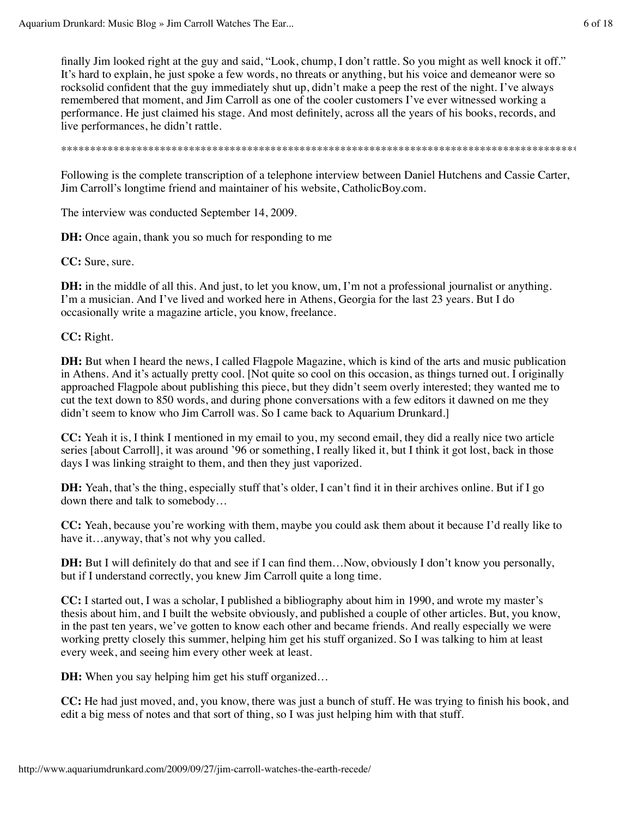finally Jim looked right at the guy and said, "Look, chump, I don't rattle. So you might as well knock it off." It's hard to explain, he just spoke a few words, no threats or anything, but his voice and demeanor were so rocksolid confident that the guy immediately shut up, didn't make a peep the rest of the night. I've always remembered that moment, and Jim Carroll as one of the cooler customers I've ever witnessed working a performance. He just claimed his stage. And most definitely, across all the years of his books, records, and live performances, he didn't rattle.

\*\*\*\*\*\*\*\*\*\*\*\*\*\*\*\*\*\*\*\*\*\*\*\*\*\*\*\*\*\*\*\*\*\*\*\*\*\*\*\*\*\*\*\*\*\*\*\*\*\*\*\*\*\*\*\*\*\*\*\*\*\*\*\*\*\*\*\*\*\*\*\*\*\*\*\*\*\*\*\*\*\*\*\*\*\*\*\*\*\*\*\*\*\*\*\*

Following is the complete transcription of a telephone interview between Daniel Hutchens and Cassie Carter, Jim Carroll's longtime friend and maintainer of his website, CatholicBoy.com.

The interview was conducted September 14, 2009.

**DH:** Once again, thank you so much for responding to me

**CC:** Sure, sure.

**DH:** in the middle of all this. And just, to let you know, um, I'm not a professional journalist or anything. I'm a musician. And I've lived and worked here in Athens, Georgia for the last 23 years. But I do occasionally write a magazine article, you know, freelance.

#### **CC:** Right.

**DH:** But when I heard the news, I called Flagpole Magazine, which is kind of the arts and music publication in Athens. And it's actually pretty cool. [Not quite so cool on this occasion, as things turned out. I originally approached Flagpole about publishing this piece, but they didn't seem overly interested; they wanted me to cut the text down to 850 words, and during phone conversations with a few editors it dawned on me they didn't seem to know who Jim Carroll was. So I came back to Aquarium Drunkard.]

**CC:** Yeah it is, I think I mentioned in my email to you, my second email, they did a really nice two article series [about Carroll], it was around '96 or something, I really liked it, but I think it got lost, back in those days I was linking straight to them, and then they just vaporized.

**DH:** Yeah, that's the thing, especially stuff that's older, I can't find it in their archives online. But if I go down there and talk to somebody…

**CC:** Yeah, because you're working with them, maybe you could ask them about it because I'd really like to have it…anyway, that's not why you called.

**DH:** But I will definitely do that and see if I can find them...Now, obviously I don't know you personally, but if I understand correctly, you knew Jim Carroll quite a long time.

**CC:** I started out, I was a scholar, I published a bibliography about him in 1990, and wrote my master's thesis about him, and I built the website obviously, and published a couple of other articles. But, you know, in the past ten years, we've gotten to know each other and became friends. And really especially we were working pretty closely this summer, helping him get his stuff organized. So I was talking to him at least every week, and seeing him every other week at least.

**DH:** When you say helping him get his stuff organized...

**CC:** He had just moved, and, you know, there was just a bunch of stuff. He was trying to finish his book, and edit a big mess of notes and that sort of thing, so I was just helping him with that stuff.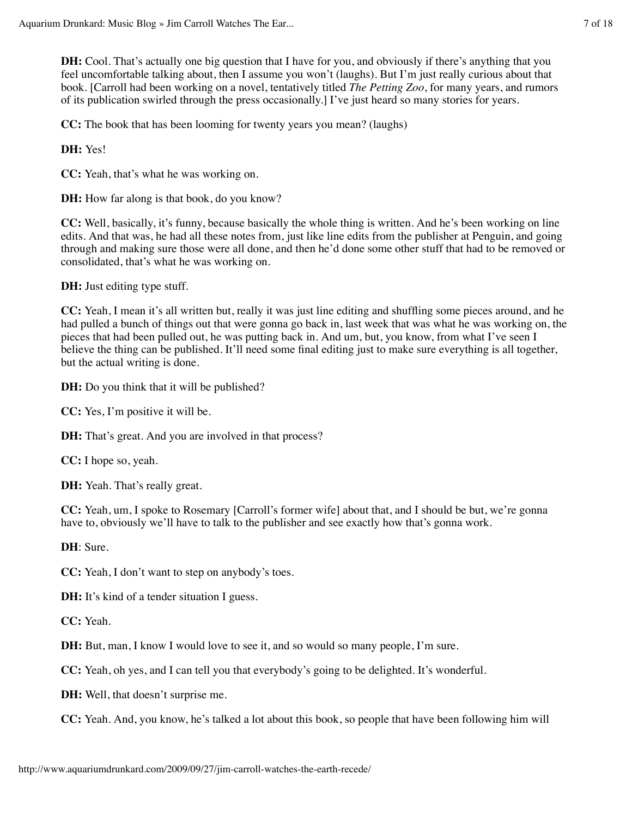**DH:** Cool. That's actually one big question that I have for you, and obviously if there's anything that you feel uncomfortable talking about, then I assume you won't (laughs). But I'm just really curious about that book. [Carroll had been working on a novel, tentatively titled *The Petting Zoo*, for many years, and rumors of its publication swirled through the press occasionally.] I've just heard so many stories for years.

**CC:** The book that has been looming for twenty years you mean? (laughs)

**DH:** Yes!

**CC:** Yeah, that's what he was working on.

**DH:** How far along is that book, do you know?

**CC:** Well, basically, it's funny, because basically the whole thing is written. And he's been working on line edits. And that was, he had all these notes from, just like line edits from the publisher at Penguin, and going through and making sure those were all done, and then he'd done some other stuff that had to be removed or consolidated, that's what he was working on.

**DH:** Just editing type stuff.

**CC:** Yeah, I mean it's all written but, really it was just line editing and shuffling some pieces around, and he had pulled a bunch of things out that were gonna go back in, last week that was what he was working on, the pieces that had been pulled out, he was putting back in. And um, but, you know, from what I've seen I believe the thing can be published. It'll need some final editing just to make sure everything is all together, but the actual writing is done.

**DH:** Do you think that it will be published?

**CC:** Yes, I'm positive it will be.

**DH:** That's great. And you are involved in that process?

**CC:** I hope so, yeah.

**DH:** Yeah. That's really great.

**CC:** Yeah, um, I spoke to Rosemary [Carroll's former wife] about that, and I should be but, we're gonna have to, obviously we'll have to talk to the publisher and see exactly how that's gonna work.

**DH**: Sure.

**CC:** Yeah, I don't want to step on anybody's toes.

**DH:** It's kind of a tender situation I guess.

**CC:** Yeah.

**DH:** But, man, I know I would love to see it, and so would so many people, I'm sure.

**CC:** Yeah, oh yes, and I can tell you that everybody's going to be delighted. It's wonderful.

**DH:** Well, that doesn't surprise me.

**CC:** Yeah. And, you know, he's talked a lot about this book, so people that have been following him will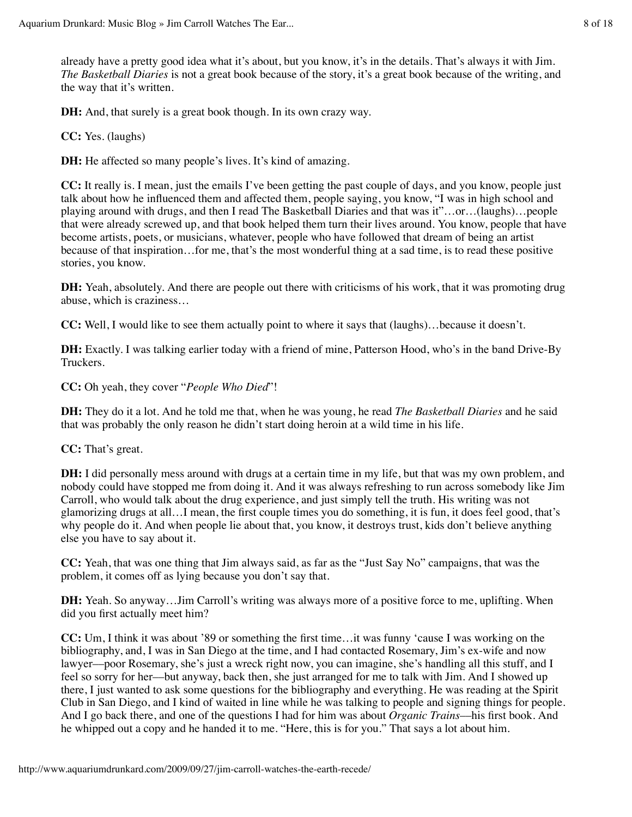already have a pretty good idea what it's about, but you know, it's in the details. That's always it with Jim. *The Basketball Diaries* is not a great book because of the story, it's a great book because of the writing, and the way that it's written.

**DH:** And, that surely is a great book though. In its own crazy way.

**CC:** Yes. (laughs)

**DH:** He affected so many people's lives. It's kind of amazing.

**CC:** It really is. I mean, just the emails I've been getting the past couple of days, and you know, people just talk about how he influenced them and affected them, people saying, you know, "I was in high school and playing around with drugs, and then I read The Basketball Diaries and that was it"…or…(laughs)…people that were already screwed up, and that book helped them turn their lives around. You know, people that have become artists, poets, or musicians, whatever, people who have followed that dream of being an artist because of that inspiration…for me, that's the most wonderful thing at a sad time, is to read these positive stories, you know.

**DH:** Yeah, absolutely. And there are people out there with criticisms of his work, that it was promoting drug abuse, which is craziness…

**CC:** Well, I would like to see them actually point to where it says that (laughs)…because it doesn't.

**DH:** Exactly. I was talking earlier today with a friend of mine, Patterson Hood, who's in the band Drive-By Truckers.

**CC:** Oh yeah, they cover "*People Who Died*"!

**DH:** They do it a lot. And he told me that, when he was young, he read *The Basketball Diaries* and he said that was probably the only reason he didn't start doing heroin at a wild time in his life.

**CC:** That's great.

**DH:** I did personally mess around with drugs at a certain time in my life, but that was my own problem, and nobody could have stopped me from doing it. And it was always refreshing to run across somebody like Jim Carroll, who would talk about the drug experience, and just simply tell the truth. His writing was not glamorizing drugs at all…I mean, the first couple times you do something, it is fun, it does feel good, that's why people do it. And when people lie about that, you know, it destroys trust, kids don't believe anything else you have to say about it.

**CC:** Yeah, that was one thing that Jim always said, as far as the "Just Say No" campaigns, that was the problem, it comes off as lying because you don't say that.

**DH:** Yeah. So anyway…Jim Carroll's writing was always more of a positive force to me, uplifting. When did you first actually meet him?

**CC:** Um, I think it was about '89 or something the first time…it was funny 'cause I was working on the bibliography, and, I was in San Diego at the time, and I had contacted Rosemary, Jim's ex-wife and now lawyer––poor Rosemary, she's just a wreck right now, you can imagine, she's handling all this stuff, and I feel so sorry for her––but anyway, back then, she just arranged for me to talk with Jim. And I showed up there, I just wanted to ask some questions for the bibliography and everything. He was reading at the Spirit Club in San Diego, and I kind of waited in line while he was talking to people and signing things for people. And I go back there, and one of the questions I had for him was about *Organic Trains*––his first book. And he whipped out a copy and he handed it to me. "Here, this is for you." That says a lot about him.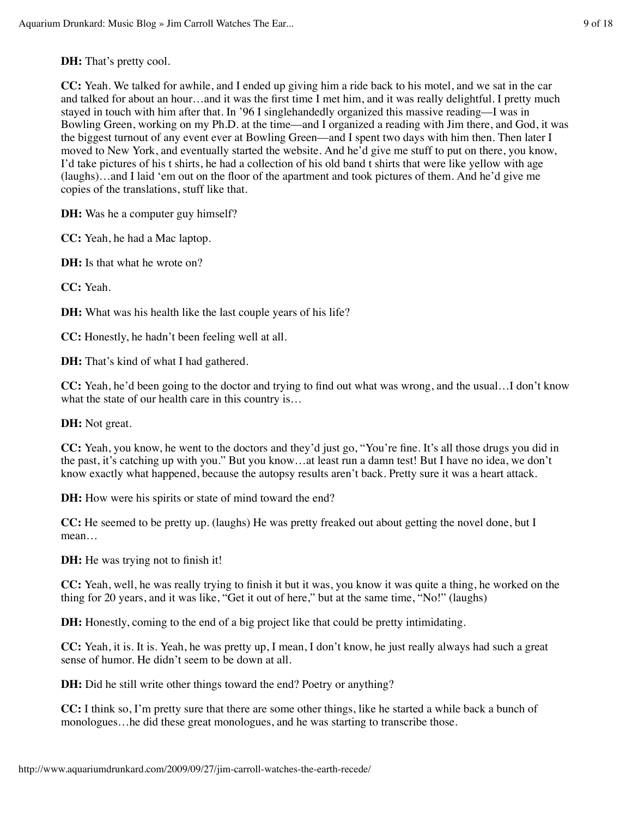**DH:** That's pretty cool.

**CC:** Yeah. We talked for awhile, and I ended up giving him a ride back to his motel, and we sat in the car and talked for about an hour…and it was the first time I met him, and it was really delightful. I pretty much stayed in touch with him after that. In '96 I singlehandedly organized this massive reading––I was in Bowling Green, working on my Ph.D. at the time––and I organized a reading with Jim there, and God, it was the biggest turnout of any event ever at Bowling Green––and I spent two days with him then. Then later I moved to New York, and eventually started the website. And he'd give me stuff to put on there, you know, I'd take pictures of his t shirts, he had a collection of his old band t shirts that were like yellow with age (laughs)…and I laid 'em out on the floor of the apartment and took pictures of them. And he'd give me copies of the translations, stuff like that.

**DH:** Was he a computer guy himself?

**CC:** Yeah, he had a Mac laptop.

**DH:** Is that what he wrote on?

**CC:** Yeah.

**DH:** What was his health like the last couple years of his life?

**CC:** Honestly, he hadn't been feeling well at all.

**DH:** That's kind of what I had gathered.

**CC:** Yeah, he'd been going to the doctor and trying to find out what was wrong, and the usual…I don't know what the state of our health care in this country is...

**DH:** Not great.

**CC:** Yeah, you know, he went to the doctors and they'd just go, "You're fine. It's all those drugs you did in the past, it's catching up with you." But you know…at least run a damn test! But I have no idea, we don't know exactly what happened, because the autopsy results aren't back. Pretty sure it was a heart attack.

**DH:** How were his spirits or state of mind toward the end?

**CC:** He seemed to be pretty up. (laughs) He was pretty freaked out about getting the novel done, but I mean...

**DH:** He was trying not to finish it!

**CC:** Yeah, well, he was really trying to finish it but it was, you know it was quite a thing, he worked on the thing for 20 years, and it was like, "Get it out of here," but at the same time, "No!" (laughs)

**DH:** Honestly, coming to the end of a big project like that could be pretty intimidating.

**CC:** Yeah, it is. It is. Yeah, he was pretty up, I mean, I don't know, he just really always had such a great sense of humor. He didn't seem to be down at all.

**DH:** Did he still write other things toward the end? Poetry or anything?

**CC:** I think so, I'm pretty sure that there are some other things, like he started a while back a bunch of monologues…he did these great monologues, and he was starting to transcribe those.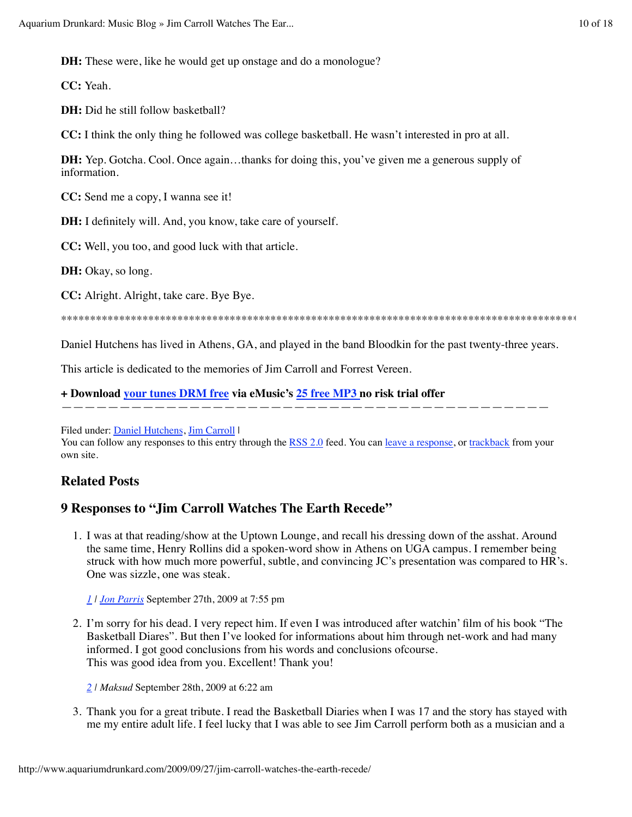**DH:** These were, like he would get up onstage and do a monologue?

**CC:** Yeah.

**DH:** Did he still follow basketball?

**CC:** I think the only thing he followed was college basketball. He wasn't interested in pro at all.

**DH:** Yep. Gotcha. Cool. Once again...thanks for doing this, you've given me a generous supply of information.

**CC:** Send me a copy, I wanna see it!

**DH:** I definitely will. And, you know, take care of yourself.

**CC:** Well, you too, and good luck with that article.

**DH:** Okay, so long.

**CC:** Alright. Alright, take care. Bye Bye.

\*\*\*\*\*\*\*\*\*\*\*\*\*\*\*\*\*\*\*\*\*\*\*\*\*\*\*\*\*\*\*\*\*\*\*\*\*\*\*\*\*\*\*\*\*\*\*\*\*\*\*\*\*\*\*\*\*\*\*\*\*\*\*\*\*\*\*\*\*\*\*\*\*\*\*\*\*\*\*\*\*\*\*\*\*\*\*\*\*\*\*\*\*\*\*\*\*\*\*

Daniel Hutchens has lived in Athens, GA, and played in the band Bloodkin for the past twenty-three years.

This article is dedicated to the memories of Jim Carroll and Forrest Vereen.

**+ Download your tunes DRM free via eMusic's 25 free MP3 no risk trial offer**

——————————————————————————————————————————

Filed under: Daniel Hutchens, Jim Carroll |

You can follow any responses to this entry through the RSS 2.0 feed. You can leave a response, or trackback from your own site.

### **Related Posts**

### **9 Responses to "Jim Carroll Watches The Earth Recede"**

1. I was at that reading/show at the Uptown Lounge, and recall his dressing down of the asshat. Around the same time, Henry Rollins did a spoken-word show in Athens on UGA campus. I remember being struck with how much more powerful, subtle, and convincing JC's presentation was compared to HR's. One was sizzle, one was steak.

*1 | Jon Parris* September 27th, 2009 at 7:55 pm

2. I'm sorry for his dead. I very repect him. If even I was introduced after watchin' film of his book "The Basketball Diares". But then I've looked for informations about him through net-work and had many informed. I got good conclusions from his words and conclusions ofcourse. This was good idea from you. Excellent! Thank you!

*2 | Maksud* September 28th, 2009 at 6:22 am

3. Thank you for a great tribute. I read the Basketball Diaries when I was 17 and the story has stayed with me my entire adult life. I feel lucky that I was able to see Jim Carroll perform both as a musician and a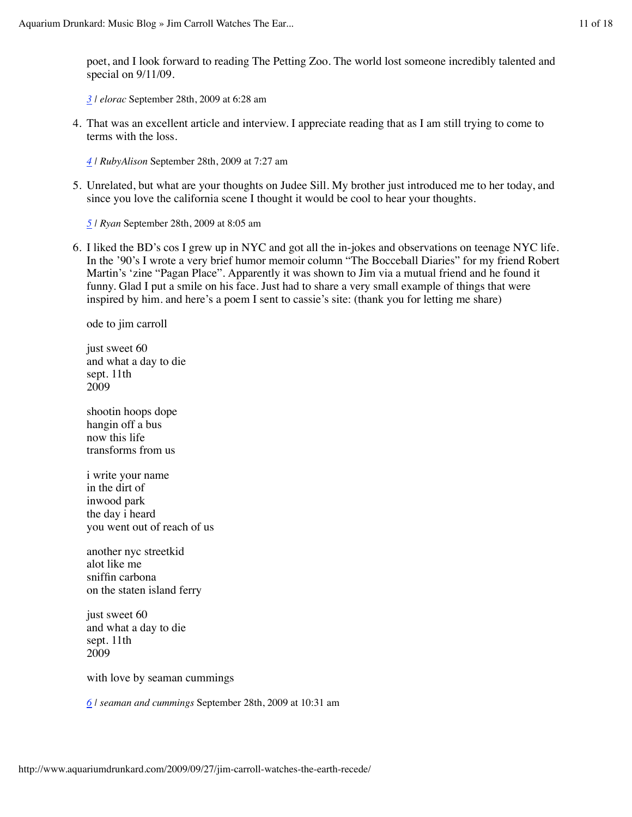poet, and I look forward to reading The Petting Zoo. The world lost someone incredibly talented and special on 9/11/09.

*3 | elorac* September 28th, 2009 at 6:28 am

That was an excellent article and interview. I appreciate reading that as I am still trying to come to 4. terms with the loss.

*4 | RubyAlison* September 28th, 2009 at 7:27 am

Unrelated, but what are your thoughts on Judee Sill. My brother just introduced me to her today, and 5. since you love the california scene I thought it would be cool to hear your thoughts.

*5 | Ryan* September 28th, 2009 at 8:05 am

6. I liked the BD's cos I grew up in NYC and got all the in-jokes and observations on teenage NYC life. In the '90's I wrote a very brief humor memoir column "The Bocceball Diaries" for my friend Robert Martin's 'zine "Pagan Place". Apparently it was shown to Jim via a mutual friend and he found it funny. Glad I put a smile on his face. Just had to share a very small example of things that were inspired by him. and here's a poem I sent to cassie's site: (thank you for letting me share)

ode to jim carroll

just sweet 60 and what a day to die sept. 11th 2009

shootin hoops dope hangin off a bus now this life transforms from us

i write your name in the dirt of inwood park the day i heard you went out of reach of us

another nyc streetkid alot like me sniffin carbona on the staten island ferry

just sweet 60 and what a day to die sept. 11th 2009

with love by seaman cummings

*6 | seaman and cummings* September 28th, 2009 at 10:31 am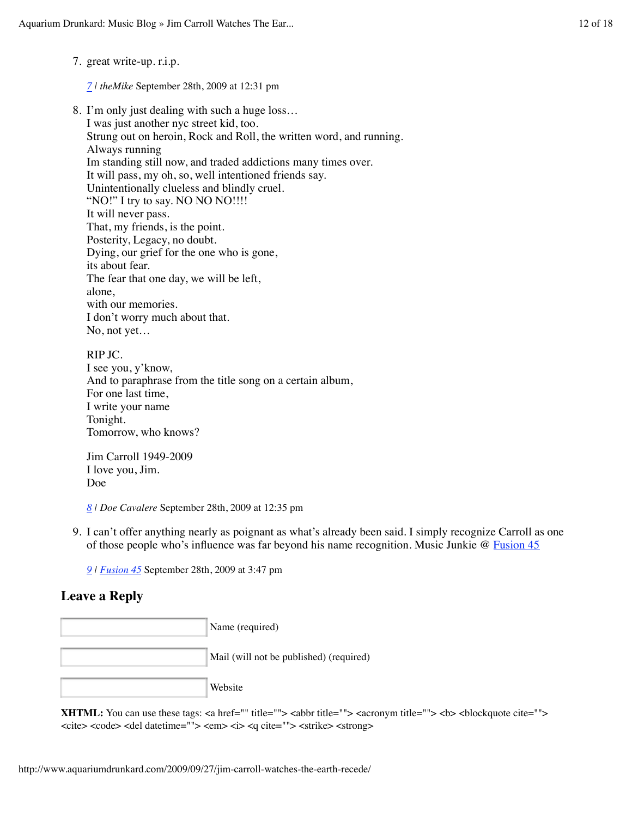7. great write-up. r.i.p.

*7 | theMike* September 28th, 2009 at 12:31 pm

8. I'm only just dealing with such a huge loss... I was just another nyc street kid, too. Strung out on heroin, Rock and Roll, the written word, and running. Always running Im standing still now, and traded addictions many times over. It will pass, my oh, so, well intentioned friends say. Unintentionally clueless and blindly cruel. "NO!" I try to say. NO NO NO!!!! It will never pass. That, my friends, is the point. Posterity, Legacy, no doubt. Dying, our grief for the one who is gone, its about fear. The fear that one day, we will be left, alone, with our memories. I don't worry much about that. No, not yet…

#### RIP JC.

I see you, y'know, And to paraphrase from the title song on a certain album, For one last time, I write your name Tonight. Tomorrow, who knows?

Jim Carroll 1949-2009 I love you, Jim. Doe

*8 | Doe Cavalere* September 28th, 2009 at 12:35 pm

9. I can't offer anything nearly as poignant as what's already been said. I simply recognize Carroll as one of those people who's influence was far beyond his name recognition. Music Junkie  $\omega$  Fusion 45

*9 | Fusion 45* September 28th, 2009 at 3:47 pm

### **Leave a Reply**

| Name (required)                         |
|-----------------------------------------|
| Mail (will not be published) (required) |
| Website                                 |

**XHTML:** You can use these tags:  $\langle a \text{ href} = \text{m} \rangle$  title="">  $\langle a \text{ hoff} \rangle$  about title="">  $\langle a \text{ hoff} \rangle$  the  $\langle b \rangle$   $\langle b \rangle$   $\langle b \rangle$   $\langle b \rangle$   $\langle b \rangle$   $\langle c \text{ hoff} \rangle$   $\langle b \rangle$ <cite> <code> <del datetime=""> <em> <i> <q cite=""> <strike> <strong>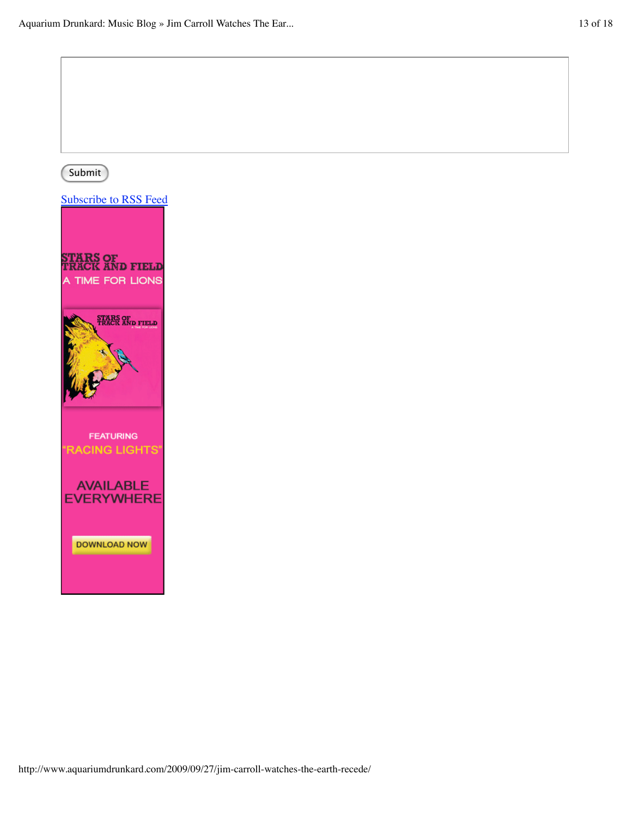### Submit



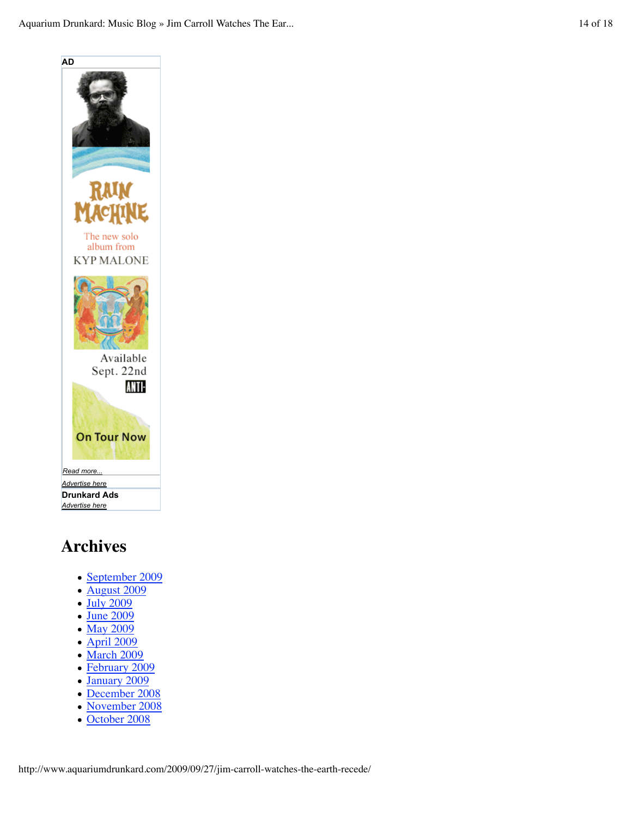



## **Archives**

- September 2009
- August 2009
- July 2009
- June 2009
- May 2009
- April 2009
- March 2009
- February 2009
- January 2009
- December 2008
- November 2008
- October 2008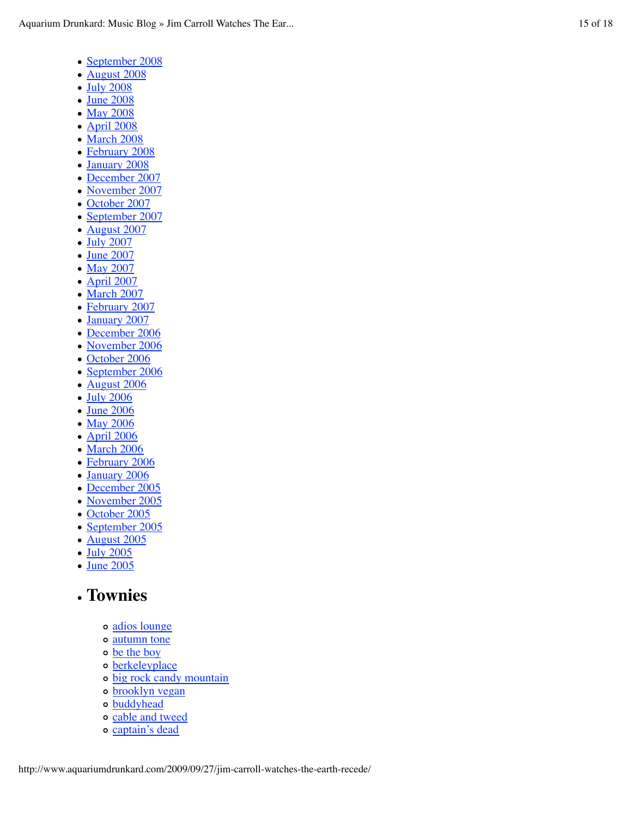- September 2008
- August 2008
- July 2008
- June 2008
- May 2008
- April 2008
- March 2008
- February 2008
- January 2008
- December 2007
- November 2007
- October 2007
- September 2007
- August 2007
- July 2007
- June 2007
- May 2007
- April 2007
- March 2007
- February 2007
- January 2007
- December 2006 November 2006
- October 2006
- September 2006
- **August 2006**
- July 2006
- June 2006
- May 2006
- April 2006
- March 2006
- February 2006
- January 2006
- December 2005
- November 2005
- October 2005
- September 2005
- August 2005
- July 2005
- June 2005

### **Townies**

- adios lounge
- autumn tone
- be the boy
- o berkeleyplace
- big rock candy mountain
- o brooklyn vegan
- buddyhead
- cable and tweed
- o captain's dead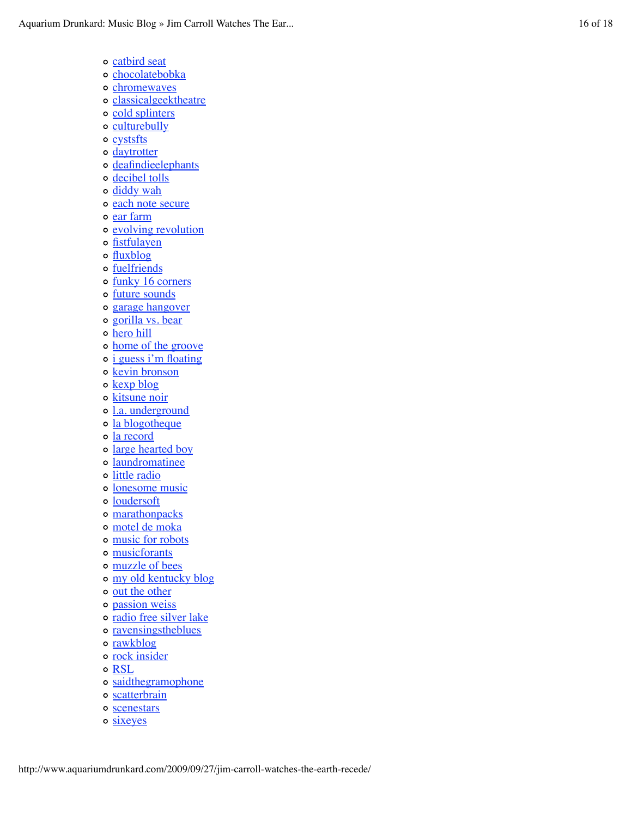- o catbird seat
- o chocolatebobka
- o chromewaves
- classicalgeektheatre
- o cold splinters
- o culturebully
- cystsfts
- daytrotter
- o deafindieelephants
- o decibel tolls
- diddy wah
- o each note secure ear farm
- 
- o evolving revolution
- fistfulayen
- o fluxblog
- o fuelfriends
- o funky 16 corners
- o future sounds
- o garage hangover
- o gorilla vs. bear
- o hero hill
- o home of the groove
- o *i* guess i'm floating
- o kevin bronson
- o kexp blog
- o kitsune noir
- l.a. underground
- la blogotheque
- la record
- large hearted boy
- laundromatinee
- little radio
- o lonesome music
- loudersoft
- marathonpacks
- motel de moka
- o music for robots
- musicforants
- muzzle of bees
- my old kentucky blog
- o out the other
- passion weiss
- o radio free silver lake
- o ravensingstheblues
- o rawkblog
- o rock insider
- o RSL
- o saidthegramophone
- o scatterbrain
- o scenestars
- o sixeyes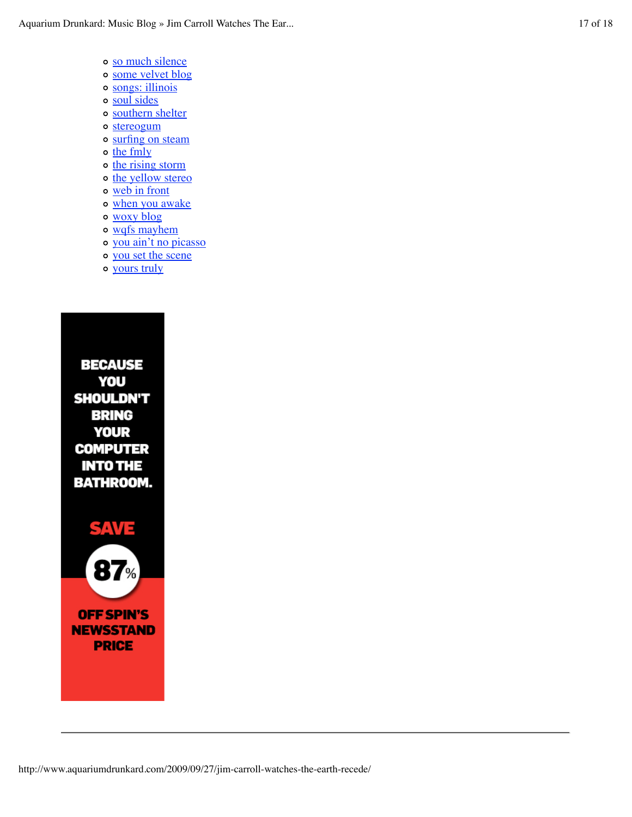- o so much silence
- some velvet blog
- songs: illinois
- o soul sides
- o southern shelter
- o stereogum
- o surfing on steam
- $\circ$  the fmly
- o the rising storm
- o the yellow stereo
- web in front
- when you awake
- woxy blog
- wqfs mayhem
- you ain't no picasso
- you set the scene
- o yours truly



# **SAVE**